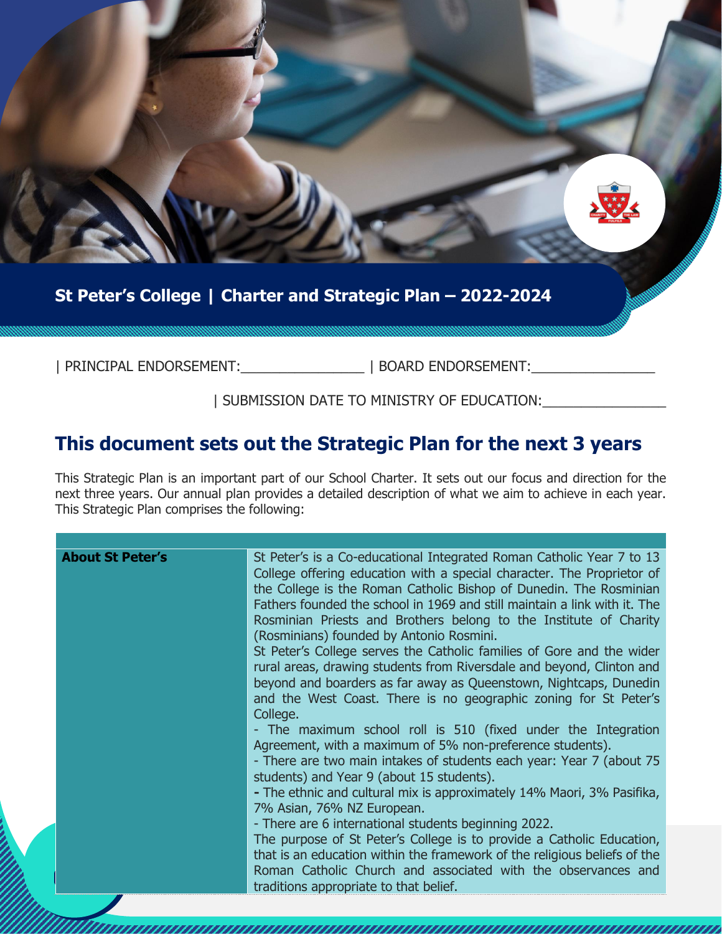

### **St Peter's College | Charter and Strategic Plan – 2022-2024**

| PRINCIPAL ENDORSEMENT:\_\_\_\_\_\_\_\_\_\_\_\_\_\_\_\_ | BOARD ENDORSEMENT:\_\_\_\_\_\_\_\_\_\_\_\_\_\_\_\_

#### | SUBMISSION DATE TO MINISTRY OF EDUCATION:\_\_\_\_\_\_\_\_\_\_\_\_\_\_\_\_

## **This document sets out the Strategic Plan for the next 3 years**

This Strategic Plan is an important part of our School Charter. It sets out our focus and direction for the next three years. Our annual plan provides a detailed description of what we aim to achieve in each year. This Strategic Plan comprises the following: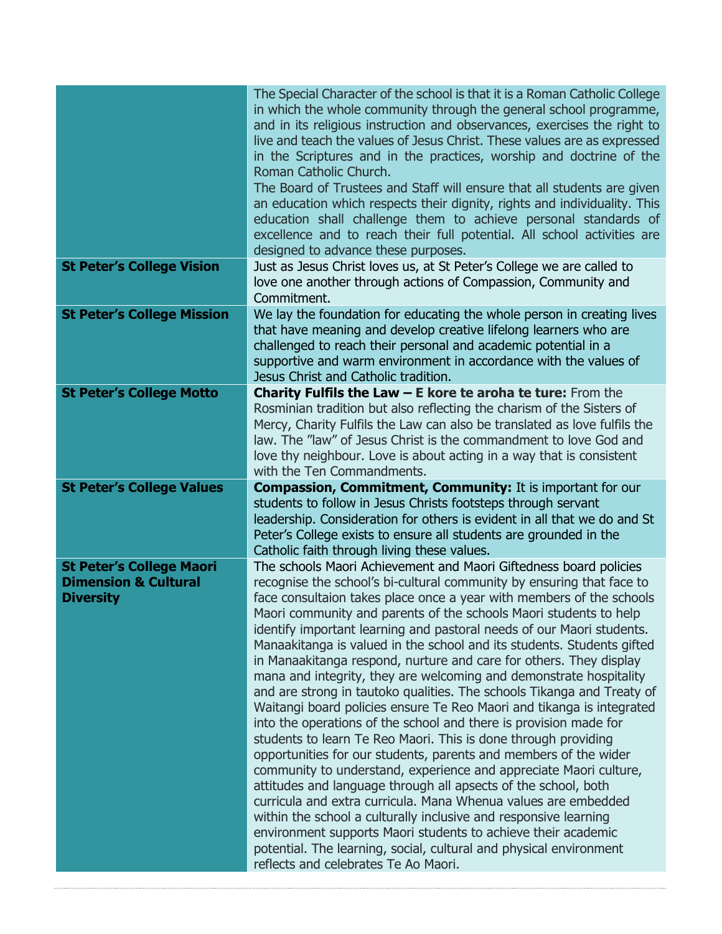|                                   | The Special Character of the school is that it is a Roman Catholic College<br>in which the whole community through the general school programme,<br>and in its religious instruction and observances, exercises the right to<br>live and teach the values of Jesus Christ. These values are as expressed<br>in the Scriptures and in the practices, worship and doctrine of the<br>Roman Catholic Church.<br>The Board of Trustees and Staff will ensure that all students are given<br>an education which respects their dignity, rights and individuality. This<br>education shall challenge them to achieve personal standards of<br>excellence and to reach their full potential. All school activities are<br>designed to advance these purposes. |
|-----------------------------------|--------------------------------------------------------------------------------------------------------------------------------------------------------------------------------------------------------------------------------------------------------------------------------------------------------------------------------------------------------------------------------------------------------------------------------------------------------------------------------------------------------------------------------------------------------------------------------------------------------------------------------------------------------------------------------------------------------------------------------------------------------|
| <b>St Peter's College Vision</b>  | Just as Jesus Christ loves us, at St Peter's College we are called to<br>love one another through actions of Compassion, Community and<br>Commitment.                                                                                                                                                                                                                                                                                                                                                                                                                                                                                                                                                                                                  |
| <b>St Peter's College Mission</b> | We lay the foundation for educating the whole person in creating lives<br>that have meaning and develop creative lifelong learners who are<br>challenged to reach their personal and academic potential in a<br>supportive and warm environment in accordance with the values of<br>Jesus Christ and Catholic tradition.                                                                                                                                                                                                                                                                                                                                                                                                                               |
| <b>St Peter's College Motto</b>   | <b>Charity Fulfils the Law <math>-</math> E kore te aroha te ture:</b> From the<br>Rosminian tradition but also reflecting the charism of the Sisters of<br>Mercy, Charity Fulfils the Law can also be translated as love fulfils the<br>law. The "law" of Jesus Christ is the commandment to love God and<br>love thy neighbour. Love is about acting in a way that is consistent<br>with the Ten Commandments.                                                                                                                                                                                                                                                                                                                                       |
| <b>St Peter's College Values</b>  | <b>Compassion, Commitment, Community: It is important for our</b><br>students to follow in Jesus Christs footsteps through servant<br>leadership. Consideration for others is evident in all that we do and St                                                                                                                                                                                                                                                                                                                                                                                                                                                                                                                                         |
| <b>St Peter's College Maori</b>   | Peter's College exists to ensure all students are grounded in the<br>Catholic faith through living these values.<br>The schools Maori Achievement and Maori Giftedness board policies                                                                                                                                                                                                                                                                                                                                                                                                                                                                                                                                                                  |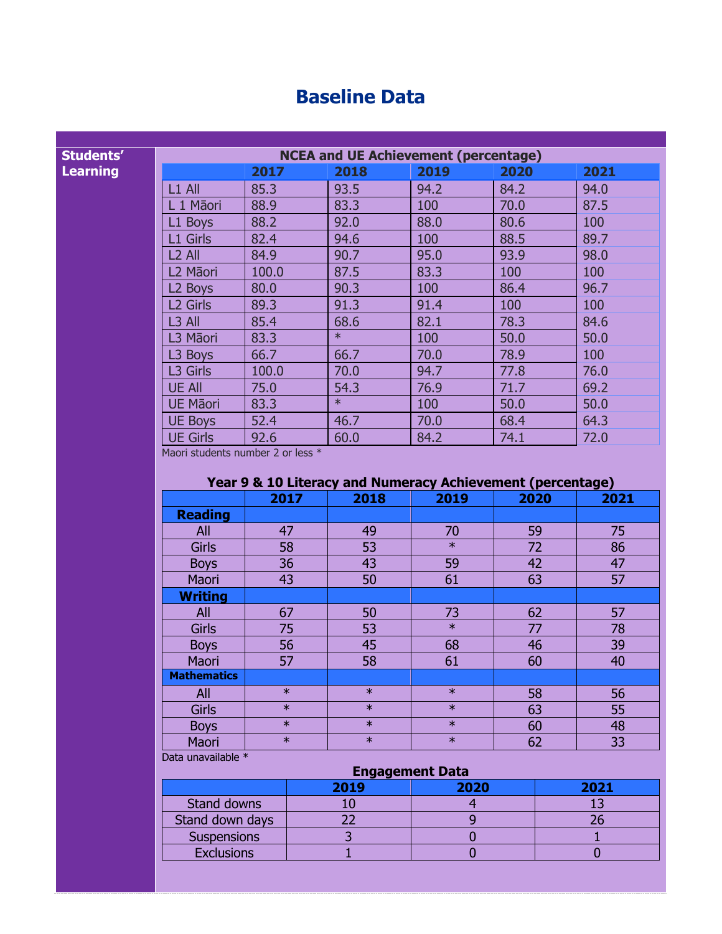## **Baseline Data**

| <b>NCEA and UE Achievement (percentage)</b> |       |        |      |      |      |
|---------------------------------------------|-------|--------|------|------|------|
|                                             | 2017  | 2018   | 2019 | 2020 | 2021 |
| $L1$ All                                    | 85.3  | 93.5   | 94.2 | 84.2 | 94.0 |
| L 1 Māori                                   | 88.9  | 83.3   | 100  | 70.0 | 87.5 |
| L1 Boys                                     | 88.2  | 92.0   | 88.0 | 80.6 | 100  |
| L1 Girls                                    | 82.4  | 94.6   | 100  | 88.5 | 89.7 |
| L <sub>2</sub> All                          | 84.9  | 90.7   | 95.0 | 93.9 | 98.0 |
| L2 Māori                                    | 100.0 | 87.5   | 83.3 | 100  | 100  |
| L <sub>2</sub> Boys                         | 80.0  | 90.3   | 100  | 86.4 | 96.7 |
| L <sub>2</sub> Girls                        | 89.3  | 91.3   | 91.4 | 100  | 100  |
| $L3$ All                                    | 85.4  | 68.6   | 82.1 | 78.3 | 84.6 |
| L3 Māori                                    | 83.3  | $\ast$ | 100  | 50.0 | 50.0 |
| L3 Boys                                     | 66.7  | 66.7   | 70.0 | 78.9 | 100  |
| L3 Girls                                    | 100.0 | 70.0   | 94.7 | 77.8 | 76.0 |
| <b>UE All</b>                               | 75.0  | 54.3   | 76.9 | 71.7 | 69.2 |
| <b>UE Māori</b>                             | 83.3  | $\ast$ | 100  | 50.0 | 50.0 |
| <b>UE Boys</b>                              | 52.4  | 46.7   | 70.0 | 68.4 | 64.3 |
| <b>UE Girls</b>                             | 92.6  | 60.0   | 84.2 | 74.1 | 72.0 |

Maori students number 2 or less \*

**Students' Learning**

#### **Year 9 & 10 Literacy and Numeracy Achievement (percentage)**

|                    | -97    |        |        |      |      |  |
|--------------------|--------|--------|--------|------|------|--|
|                    | 2017   | 2018   | 2019   | 2020 | 2021 |  |
| <b>Reading</b>     |        |        |        |      |      |  |
| All                | 47     | 49     | 70     | 59   | 75   |  |
| <b>Girls</b>       | 58     | 53     | $\ast$ | 72   | 86   |  |
| <b>Boys</b>        | 36     | 43     | 59     | 42   | 47   |  |
| Maori              | 43     | 50     | 61     | 63   | 57   |  |
| <b>Writing</b>     |        |        |        |      |      |  |
| All                | 67     | 50     | 73     | 62   | 57   |  |
| Girls              | 75     | 53     | $\ast$ | 77   | 78   |  |
| <b>Boys</b>        | 56     | 45     | 68     | 46   | 39   |  |
| <b>Maori</b>       | 57     | 58     | 61     | 60   | 40   |  |
| <b>Mathematics</b> |        |        |        |      |      |  |
| All                | $\ast$ | $\ast$ | $\ast$ | 58   | 56   |  |
| <b>Girls</b>       | $\ast$ | $\ast$ | $\ast$ | 63   | 55   |  |
| <b>Boys</b>        | $\ast$ | $\ast$ | $\ast$ | 60   | 48   |  |
| Maori              | $\ast$ | $\ast$ | $\ast$ | 62   | 33   |  |
|                    |        |        |        |      |      |  |

Data unavailable \*

#### **Engagement Data**<br>19 **Decima 19 Dec** 19 Dec 2020 **2019 2020 2021** Stand downs 10 10 13<br>
and down days 22 9 26 Stand down days 22 9 26<br>Suspensions 3 0 1 Suspensions 3 0 1<br>Exclusions 1 0 0 Exclusions 1 0 0 0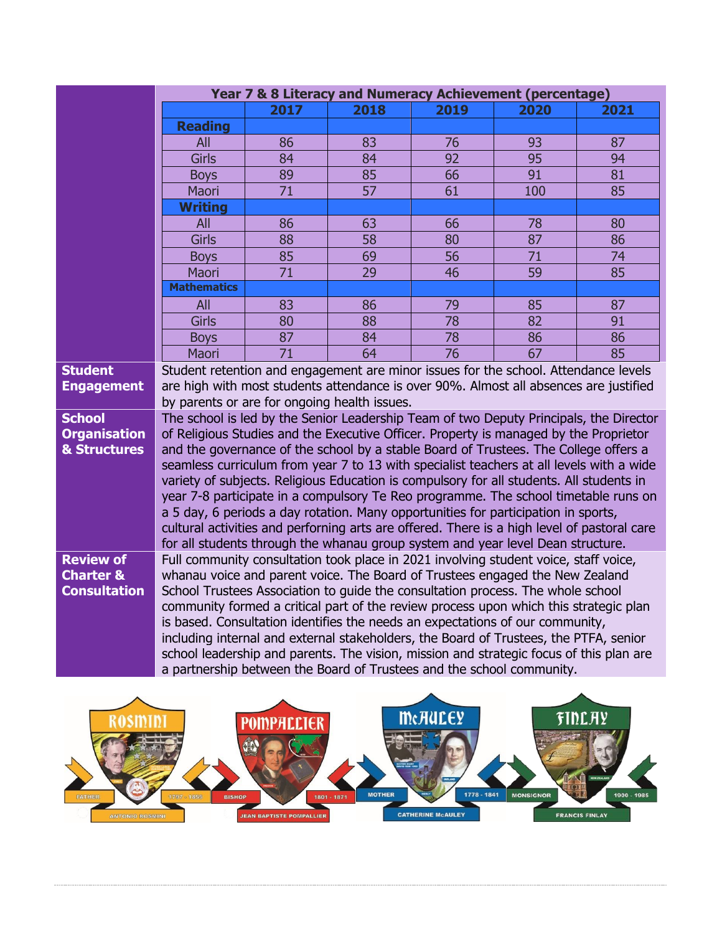|                                     | Year 7 & 8 Literacy and Numeracy Achievement (percentage)                                                                                                                        |                                                                                          |      |                 |      |      |  |
|-------------------------------------|----------------------------------------------------------------------------------------------------------------------------------------------------------------------------------|------------------------------------------------------------------------------------------|------|-----------------|------|------|--|
|                                     |                                                                                                                                                                                  | 2017                                                                                     | 2018 | 2019            | 2020 | 2021 |  |
|                                     | <b>Reading</b>                                                                                                                                                                   |                                                                                          |      |                 |      |      |  |
|                                     | All                                                                                                                                                                              | 86                                                                                       | 83   | 76              | 93   | 87   |  |
|                                     | <b>Girls</b>                                                                                                                                                                     | 84                                                                                       | 84   | 92              | 95   | 94   |  |
|                                     | <b>Boys</b>                                                                                                                                                                      | 89                                                                                       | 85   | 66              | 91   | 81   |  |
|                                     | Maori                                                                                                                                                                            | 71                                                                                       | 57   | 61              | 100  | 85   |  |
|                                     | <b>Writing</b>                                                                                                                                                                   |                                                                                          |      |                 |      |      |  |
|                                     | All                                                                                                                                                                              | 86                                                                                       | 63   | 66              | 78   | 80   |  |
|                                     | <b>Girls</b>                                                                                                                                                                     | 88                                                                                       | 58   | 80              | 87   | 86   |  |
|                                     | <b>Boys</b>                                                                                                                                                                      | 85                                                                                       | 69   | 56              | 71   | 74   |  |
|                                     | Maori                                                                                                                                                                            | 71                                                                                       | 29   | 46              | 59   | 85   |  |
|                                     | <b>Mathematics</b>                                                                                                                                                               |                                                                                          |      |                 |      |      |  |
|                                     | All                                                                                                                                                                              | 83                                                                                       | 86   | 79              | 85   | 87   |  |
|                                     | <b>Girls</b>                                                                                                                                                                     | 80                                                                                       | 88   | 78              | 82   | 91   |  |
|                                     | <b>Boys</b>                                                                                                                                                                      | 87                                                                                       | 84   | 78              | 86   | 86   |  |
|                                     | Maori                                                                                                                                                                            | 71                                                                                       | 64   | $\overline{76}$ | 67   | 85   |  |
| <b>Student</b><br><b>Engagement</b> | Student retention and engagement are minor issues for the school. Attendance levels<br>are high with most students attendance is over 90%. Almost all absences are justified     |                                                                                          |      |                 |      |      |  |
|                                     | by parents or are for ongoing health issues.                                                                                                                                     |                                                                                          |      |                 |      |      |  |
| <b>School</b>                       | The school is led by the Senior Leadership Team of two Deputy Principals, the Director                                                                                           |                                                                                          |      |                 |      |      |  |
| <b>Organisation</b>                 | of Religious Studies and the Executive Officer. Property is managed by the Proprietor                                                                                            |                                                                                          |      |                 |      |      |  |
| & Structures                        | and the governance of the school by a stable Board of Trustees. The College offers a                                                                                             |                                                                                          |      |                 |      |      |  |
|                                     |                                                                                                                                                                                  | seamless curriculum from year 7 to 13 with specialist teachers at all levels with a wide |      |                 |      |      |  |
|                                     | variety of subjects. Religious Education is compulsory for all students. All students in                                                                                         |                                                                                          |      |                 |      |      |  |
|                                     | year 7-8 participate in a compulsory Te Reo programme. The school timetable runs on                                                                                              |                                                                                          |      |                 |      |      |  |
|                                     | a 5 day, 6 periods a day rotation. Many opportunities for participation in sports,                                                                                               |                                                                                          |      |                 |      |      |  |
|                                     | cultural activities and perforning arts are offered. There is a high level of pastoral care                                                                                      |                                                                                          |      |                 |      |      |  |
|                                     | for all students through the whanau group system and year level Dean structure.                                                                                                  |                                                                                          |      |                 |      |      |  |
| <b>Review of</b>                    | Full community consultation took place in 2021 involving student voice, staff voice,                                                                                             |                                                                                          |      |                 |      |      |  |
| <b>Charter &amp;</b>                | whanau voice and parent voice. The Board of Trustees engaged the New Zealand                                                                                                     |                                                                                          |      |                 |      |      |  |
| <b>Consultation</b>                 | School Trustees Association to guide the consultation process. The whole school                                                                                                  |                                                                                          |      |                 |      |      |  |
|                                     | community formed a critical part of the review process upon which this strategic plan<br>is based. Consultation identifies the needs an expectations of our community,           |                                                                                          |      |                 |      |      |  |
|                                     |                                                                                                                                                                                  |                                                                                          |      |                 |      |      |  |
|                                     | including internal and external stakeholders, the Board of Trustees, the PTFA, senior<br>school leadership and parents. The vision, mission and strategic focus of this plan are |                                                                                          |      |                 |      |      |  |
|                                     | a partnership between the Board of Trustees and the school community.                                                                                                            |                                                                                          |      |                 |      |      |  |
|                                     |                                                                                                                                                                                  |                                                                                          |      |                 |      |      |  |

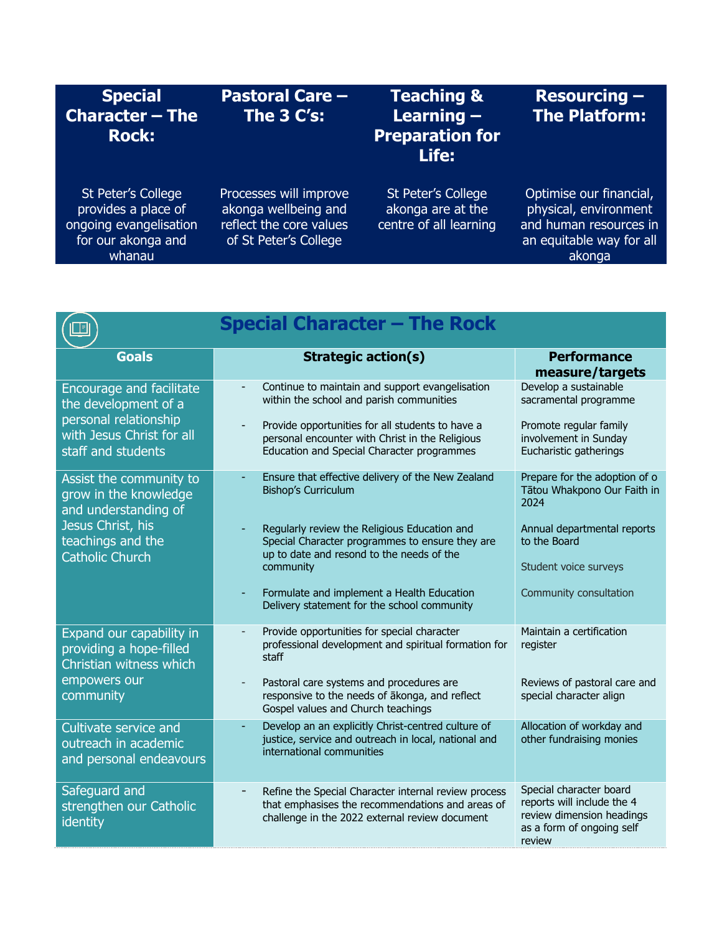| <b>Special</b><br><b>Character - The</b><br><b>Rock:</b>                                            | <b>Pastoral Care -</b><br>The $3C's:$                                                              | <b>Teaching &amp;</b><br>Learning $-$<br><b>Preparation for</b><br>Life: | <b>Resourcing -</b><br><b>The Platform:</b>                                                                      |
|-----------------------------------------------------------------------------------------------------|----------------------------------------------------------------------------------------------------|--------------------------------------------------------------------------|------------------------------------------------------------------------------------------------------------------|
| St Peter's College<br>provides a place of<br>ongoing evangelisation<br>for our akonga and<br>whanau | Processes will improve<br>akonga wellbeing and<br>reflect the core values<br>of St Peter's College | St Peter's College<br>akonga are at the<br>centre of all learning        | Optimise our financial,<br>physical, environment<br>and human resources in<br>an equitable way for all<br>akonga |

|                                                                                                                                       | <b>Special Character - The Rock</b>                                                                                                                                                                                                                                                                                                       |                                                                                                                                                                        |
|---------------------------------------------------------------------------------------------------------------------------------------|-------------------------------------------------------------------------------------------------------------------------------------------------------------------------------------------------------------------------------------------------------------------------------------------------------------------------------------------|------------------------------------------------------------------------------------------------------------------------------------------------------------------------|
| <b>Goals</b>                                                                                                                          | <b>Strategic action(s)</b>                                                                                                                                                                                                                                                                                                                | <b>Performance</b><br>measure/targets                                                                                                                                  |
| <b>Encourage and facilitate</b><br>the development of a<br>personal relationship<br>with Jesus Christ for all<br>staff and students   | Continue to maintain and support evangelisation<br>within the school and parish communities<br>Provide opportunities for all students to have a<br>personal encounter with Christ in the Religious<br>Education and Special Character programmes                                                                                          | Develop a sustainable<br>sacramental programme<br>Promote regular family<br>involvement in Sunday<br>Eucharistic gatherings                                            |
| Assist the community to<br>grow in the knowledge<br>and understanding of<br>Jesus Christ, his<br>teachings and the<br>Catholic Church | Ensure that effective delivery of the New Zealand<br><b>Bishop's Curriculum</b><br>Regularly review the Religious Education and<br>Special Character programmes to ensure they are<br>up to date and resond to the needs of the<br>community<br>Formulate and implement a Health Education<br>Delivery statement for the school community | Prepare for the adoption of o<br>Tātou Whakpono Our Faith in<br>2024<br>Annual departmental reports<br>to the Board<br>Student voice surveys<br>Community consultation |
| Expand our capability in<br>providing a hope-filled<br>Christian witness which<br>empowers our<br>community                           | Provide opportunities for special character<br>professional development and spiritual formation for<br>staff<br>Pastoral care systems and procedures are<br>responsive to the needs of akonga, and reflect<br>Gospel values and Church teachings                                                                                          | Maintain a certification<br>register<br>Reviews of pastoral care and<br>special character align                                                                        |
| Cultivate service and<br>outreach in academic<br>and personal endeavours                                                              | Develop an an explicitly Christ-centred culture of<br>justice, service and outreach in local, national and<br>international communities                                                                                                                                                                                                   | Allocation of workday and<br>other fundraising monies                                                                                                                  |
| Safeguard and<br>strengthen our Catholic<br>identity                                                                                  | Refine the Special Character internal review process<br>that emphasises the recommendations and areas of<br>challenge in the 2022 external review document                                                                                                                                                                                | Special character board<br>reports will include the 4<br>review dimension headings<br>as a form of ongoing self<br>review                                              |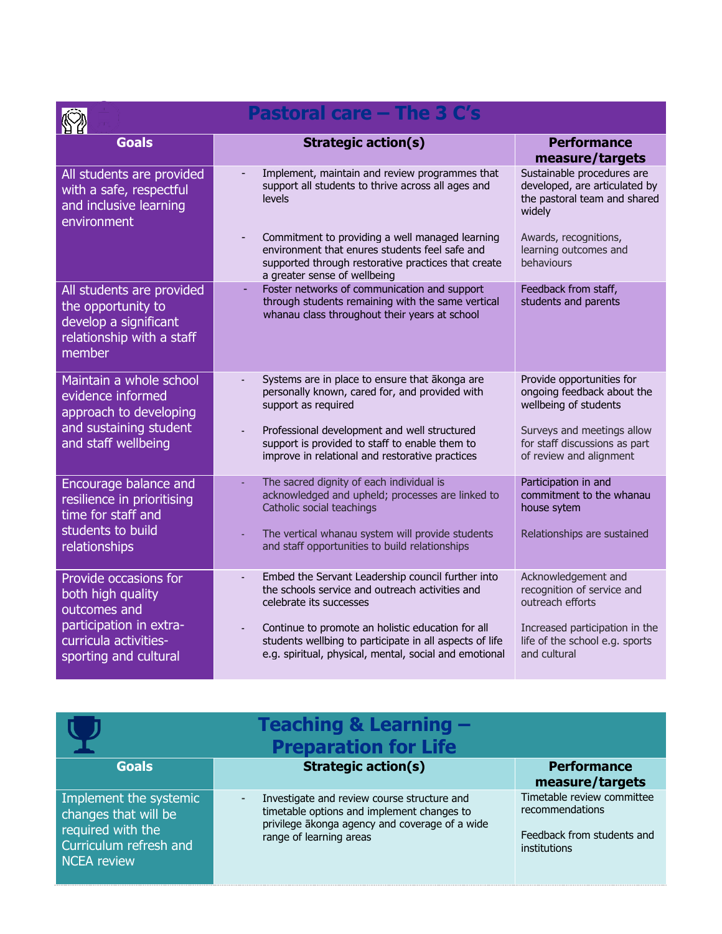| <b>Pastoral care - The 3 C's</b>                                                                                                        |                                                                                                                                                                                                                                                                                                                 |                                                                                                                                                                            |  |
|-----------------------------------------------------------------------------------------------------------------------------------------|-----------------------------------------------------------------------------------------------------------------------------------------------------------------------------------------------------------------------------------------------------------------------------------------------------------------|----------------------------------------------------------------------------------------------------------------------------------------------------------------------------|--|
| <b>Goals</b>                                                                                                                            | <b>Strategic action(s)</b>                                                                                                                                                                                                                                                                                      | <b>Performance</b><br>measure/targets                                                                                                                                      |  |
| All students are provided<br>with a safe, respectful<br>and inclusive learning<br>environment                                           | Implement, maintain and review programmes that<br>support all students to thrive across all ages and<br>levels                                                                                                                                                                                                  | Sustainable procedures are<br>developed, are articulated by<br>the pastoral team and shared<br>widely                                                                      |  |
|                                                                                                                                         | Commitment to providing a well managed learning<br>environment that enures students feel safe and<br>supported through restorative practices that create<br>a greater sense of wellbeing                                                                                                                        | Awards, recognitions,<br>learning outcomes and<br>behaviours                                                                                                               |  |
| All students are provided<br>the opportunity to<br>develop a significant<br>relationship with a staff<br>member                         | Foster networks of communication and support<br>÷,<br>through students remaining with the same vertical<br>whanau class throughout their years at school                                                                                                                                                        | Feedback from staff,<br>students and parents                                                                                                                               |  |
| Maintain a whole school<br>evidence informed<br>approach to developing<br>and sustaining student<br>and staff wellbeing                 | Systems are in place to ensure that ākonga are<br>personally known, cared for, and provided with<br>support as required<br>Professional development and well structured<br>support is provided to staff to enable them to<br>improve in relational and restorative practices                                    | Provide opportunities for<br>ongoing feedback about the<br>wellbeing of students<br>Surveys and meetings allow<br>for staff discussions as part<br>of review and alignment |  |
| Encourage balance and<br>resilience in prioritising<br>time for staff and<br>students to build<br>relationships                         | The sacred dignity of each individual is<br>acknowledged and upheld; processes are linked to<br>Catholic social teachings<br>The vertical whanau system will provide students<br>and staff opportunities to build relationships                                                                                 | Participation in and<br>commitment to the whanau<br>house sytem<br>Relationships are sustained                                                                             |  |
| Provide occasions for<br>both high quality<br>outcomes and<br>participation in extra-<br>curricula activities-<br>sporting and cultural | Embed the Servant Leadership council further into<br>÷,<br>the schools service and outreach activities and<br>celebrate its successes<br>Continue to promote an holistic education for all<br>students wellbing to participate in all aspects of life<br>e.g. spiritual, physical, mental, social and emotional | Acknowledgement and<br>recognition of service and<br>outreach efforts<br>Increased participation in the<br>life of the school e.g. sports<br>and cultural                  |  |

|                                                                                                                     | Teaching & Learning -<br><b>Preparation for Life</b>                                                                                                                   |                                                                                             |
|---------------------------------------------------------------------------------------------------------------------|------------------------------------------------------------------------------------------------------------------------------------------------------------------------|---------------------------------------------------------------------------------------------|
| <b>Goals</b>                                                                                                        | <b>Strategic action(s)</b>                                                                                                                                             | <b>Performance</b><br>measure/targets                                                       |
| Implement the systemic<br>changes that will be<br>required with the<br>Curriculum refresh and<br><b>NCEA</b> review | Investigate and review course structure and<br>timetable options and implement changes to<br>privilege akonga agency and coverage of a wide<br>range of learning areas | Timetable review committee<br>recommendations<br>Feedback from students and<br>institutions |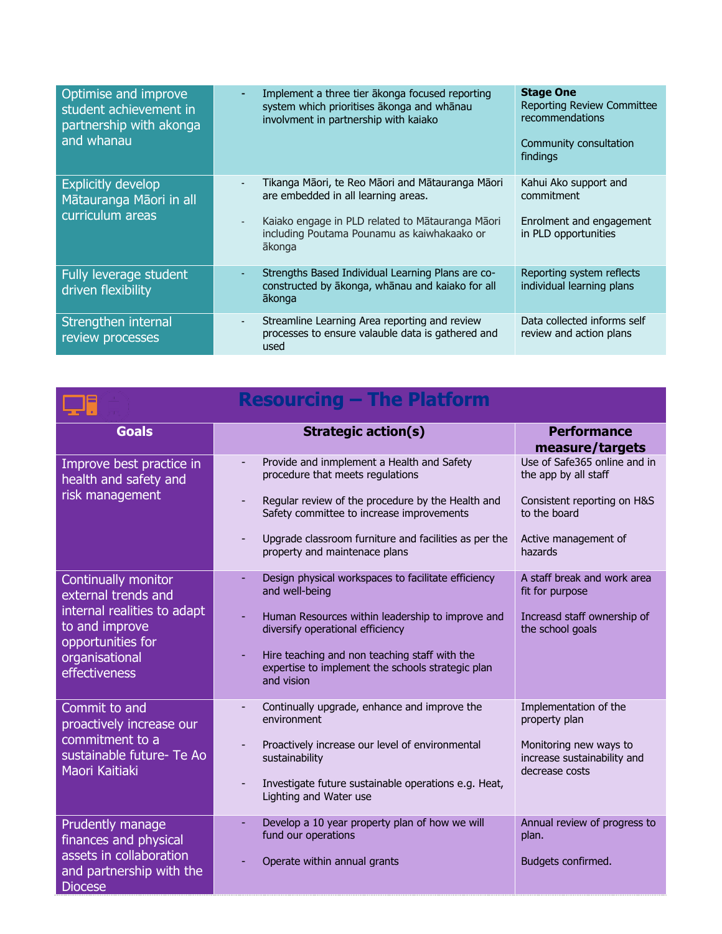| Optimise and improve<br>student achievement in<br>partnership with akonga<br>and whanau | Implement a three tier ākonga focused reporting<br>system which prioritises ākonga and whānau<br>involvment in partnership with kaiako                                                               | <b>Stage One</b><br><b>Reporting Review Committee</b><br>recommendations<br>Community consultation<br>findings |
|-----------------------------------------------------------------------------------------|------------------------------------------------------------------------------------------------------------------------------------------------------------------------------------------------------|----------------------------------------------------------------------------------------------------------------|
| <b>Explicitly develop</b><br>Mātauranga Māori in all<br>curriculum areas                | Tikanga Māori, te Reo Māori and Mātauranga Māori<br>are embedded in all learning areas.<br>Kaiako engage in PLD related to Mātauranga Māori<br>including Poutama Pounamu as kaiwhakaako or<br>ākonga | Kahui Ako support and<br>commitment<br>Enrolment and engagement<br>in PLD opportunities                        |
| Fully leverage student<br>driven flexibility                                            | Strengths Based Individual Learning Plans are co-<br>constructed by ākonga, whānau and kaiako for all<br>ākonga                                                                                      | Reporting system reflects<br>individual learning plans                                                         |
| Strengthen internal<br>review processes                                                 | Streamline Learning Area reporting and review<br>processes to ensure valauble data is gathered and<br>used                                                                                           | Data collected informs self<br>review and action plans                                                         |

| <b>Resourcing - The Platform</b>                                                                                                                    |                                                                                                                                                                                                                                                                                   |                                                                                                                                        |  |
|-----------------------------------------------------------------------------------------------------------------------------------------------------|-----------------------------------------------------------------------------------------------------------------------------------------------------------------------------------------------------------------------------------------------------------------------------------|----------------------------------------------------------------------------------------------------------------------------------------|--|
| <b>Goals</b>                                                                                                                                        | <b>Strategic action(s)</b>                                                                                                                                                                                                                                                        | <b>Performance</b><br>measure/targets                                                                                                  |  |
| Improve best practice in<br>health and safety and<br>risk management                                                                                | Provide and inmplement a Health and Safety<br>procedure that meets regulations<br>Regular review of the procedure by the Health and<br>Safety committee to increase improvements<br>Upgrade classroom furniture and facilities as per the<br>property and maintenace plans        | Use of Safe365 online and in<br>the app by all staff<br>Consistent reporting on H&S<br>to the board<br>Active management of<br>hazards |  |
| Continually monitor<br>external trends and<br>internal realities to adapt<br>to and improve<br>opportunities for<br>organisational<br>effectiveness | Design physical workspaces to facilitate efficiency<br>and well-being<br>Human Resources within leadership to improve and<br>diversify operational efficiency<br>Hire teaching and non teaching staff with the<br>expertise to implement the schools strategic plan<br>and vision | A staff break and work area<br>fit for purpose<br>Increasd staff ownership of<br>the school goals                                      |  |
| Commit to and<br>proactively increase our<br>commitment to a<br>sustainable future- Te Ao<br>Maori Kaitiaki                                         | Continually upgrade, enhance and improve the<br>environment<br>Proactively increase our level of environmental<br>sustainability<br>Investigate future sustainable operations e.g. Heat,<br>Lighting and Water use                                                                | Implementation of the<br>property plan<br>Monitoring new ways to<br>increase sustainability and<br>decrease costs                      |  |
| Prudently manage<br>finances and physical<br>assets in collaboration<br>and partnership with the<br><b>Diocese</b>                                  | Develop a 10 year property plan of how we will<br>fund our operations<br>Operate within annual grants                                                                                                                                                                             | Annual review of progress to<br>plan.<br>Budgets confirmed.                                                                            |  |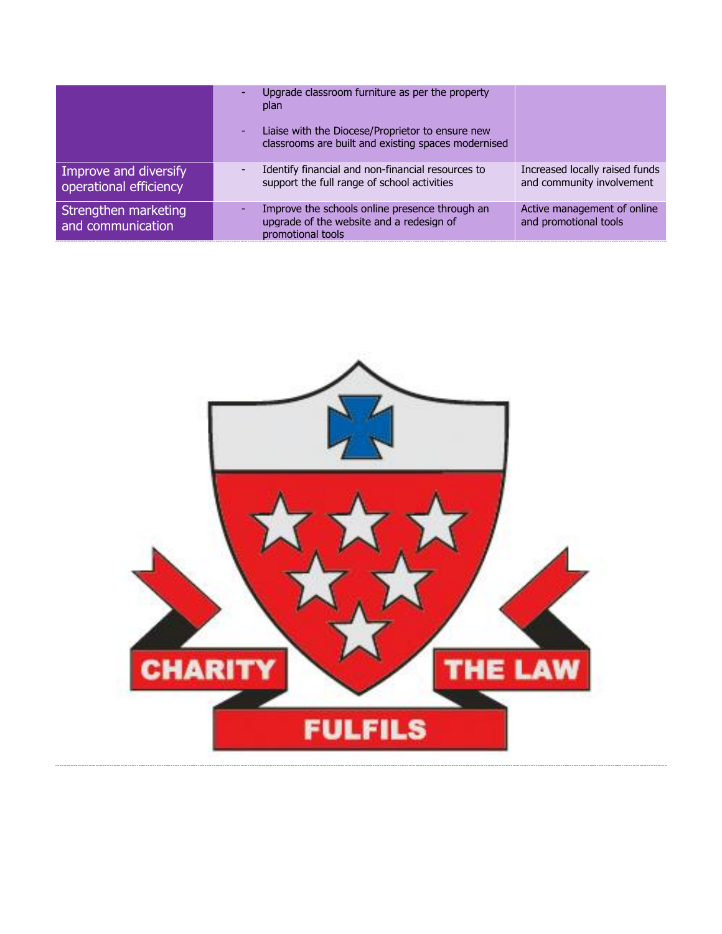|                                                 | Upgrade classroom furniture as per the property<br>plan<br>Liaise with the Diocese/Proprietor to ensure new<br>classrooms are built and existing spaces modernised |                                                             |
|-------------------------------------------------|--------------------------------------------------------------------------------------------------------------------------------------------------------------------|-------------------------------------------------------------|
| Improve and diversify<br>operational efficiency | Identify financial and non-financial resources to<br>support the full range of school activities                                                                   | Increased locally raised funds<br>and community involvement |
| Strengthen marketing<br>and communication       | Improve the schools online presence through an<br>upgrade of the website and a redesign of<br>promotional tools                                                    | Active management of online<br>and promotional tools        |